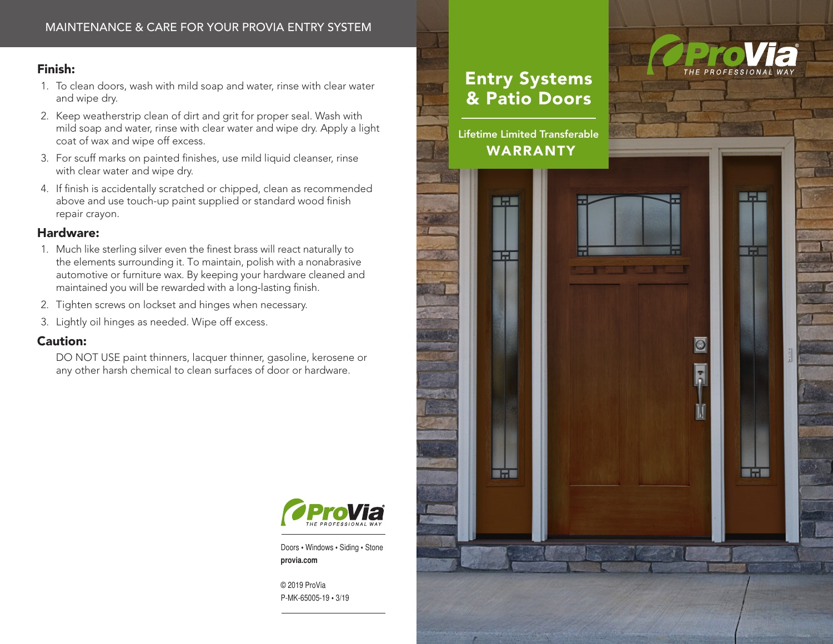# Finish:

- 1. To clean doors, wash with mild soap and water, rinse with clear water and wipe dry.
- 2. Keep weatherstrip clean of dirt and grit for proper seal. Wash with mild soap and water, rinse with clear water and wipe dry. Apply a light coat of wax and wipe off excess.
- 3. For scuff marks on painted finishes, use mild liquid cleanser, rinse with clear water and wipe dry.
- 4. If finish is accidentally scratched or chipped, clean as recommended above and use touch-up paint supplied or standard wood finish repair crayon.

# Hardware:

- 1. Much like sterling silver even the finest brass will react naturally to the elements surrounding it. To maintain, polish with a nonabrasive automotive or furniture wax. By keeping your hardware cleaned and maintained you will be rewarded with a long-lasting finish.
- 2. Tighten screws on lockset and hinges when necessary.
- 3. Lightly oil hinges as needed. Wipe off excess.

# Caution:

DO NOT USE paint thinners, lacquer thinner, gasoline, kerosene or any other harsh chemical to clean surfaces of door or hardware.



Doors • Windows • Siding • Stone **provia.com**

© 2019 ProVia P-MK-65005-19 • 3/19

# Entry Systems & Patio Doors

Lifetime Limited Transferable WARRANTY

**Barl** 

■六国

**Barbara** 



■元国

图示量

**Info** 

 $|\Theta|$